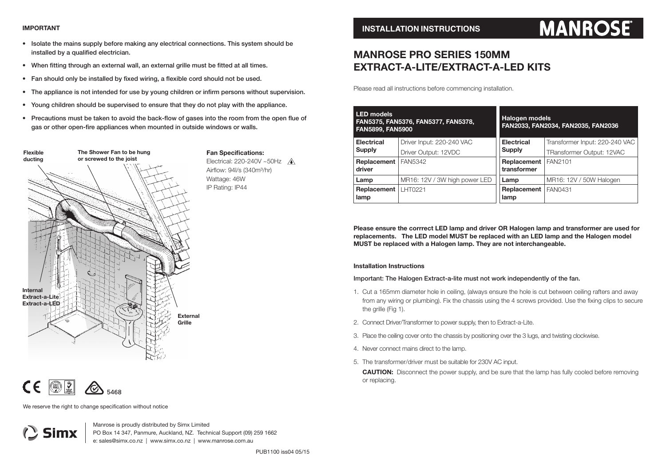#### **IMPORTANT**

- Isolate the mains supply before making any electrical connections. This system should be installed by a qualified electrician.
- When fitting through an external wall, an external grille must be fitted at all times.
- Fan should only be installed by fixed wiring, a flexible cord should not be used.
- The appliance is not intended for use by young children or infirm persons without supervision.
- Young children should be supervised to ensure that they do not play with the appliance.
- Precautions must be taken to avoid the back-flow of gases into the room from the open flue of gas or other open-fire appliances when mounted in outside windows or walls.





Simx

We reserve the right to change specification without notice

Manrose is proudly distributed by Simx Limited PO Box 14 347, Panmure, Auckland, NZ. Technical Support (09) 259 1662 e: sales@simx.co.nz | www.simx.co.nz | www.manrose.com.au

# **MANROSE**

## **MANROSE PRO SERIES 150MM EXTRACT-A-LITE/EXTRACT-A-LED KITS**

Please read all instructions before commencing installation.

| <b>LED</b> models<br>FAN5375, FAN5376, FAN5377, FAN5378,<br><b>FAN5899, FAN5900</b> |                               | <b>Halogen models</b><br>FAN2033, FAN2034, FAN2035, FAN2036 |                                |
|-------------------------------------------------------------------------------------|-------------------------------|-------------------------------------------------------------|--------------------------------|
| <b>Electrical</b>                                                                   | Driver Input: 220-240 VAC     | <b>Electrical</b>                                           | Transformer Input: 220-240 VAC |
| <b>Supply</b>                                                                       | Driver Output: 12VDC          | <b>Supply</b>                                               | TRansformer Output: 12VAC      |
| Replacement                                                                         | <b>FAN5342</b>                | Replacement                                                 | FAN2101                        |
| driver                                                                              |                               | transformer                                                 |                                |
| Lamp                                                                                | MR16: 12V / 3W high power LED | Lamp                                                        | MR16: 12V / 50W Halogen        |
| Replacement                                                                         | LHT0221                       | Replacement                                                 | FAN0431                        |
| lamp                                                                                |                               | lamp                                                        |                                |

**Please ensure the corrrect LED lamp and driver OR Halogen lamp and transformer are used for replacements. The LED model MUST be replaced with an LED lamp and the Halogen model MUST be replaced with a Halogen lamp. They are not interchangeable.**

#### **Installation Instructions**

Important: The Halogen Extract-a-lite must not work independently of the fan.

- 1. Cut a 165mm diameter hole in ceiling, (always ensure the hole is cut between ceiling rafters and away from any wiring or plumbing). Fix the chassis using the 4 screws provided. Use the fixing clips to secure the grille (Fig 1).
- 2. Connect Driver/Transformer to power supply, then to Extract-a-Lite.
- 3. Place the ceiling cover onto the chassis by positioning over the 3 lugs, and twisting clockwise.
- 4. Never connect mains direct to the lamp.
- 5. The transformer/driver must be suitable for 230V AC input.

**CAUTION:** Disconnect the power supply, and be sure that the lamp has fully cooled before removing or replacing.